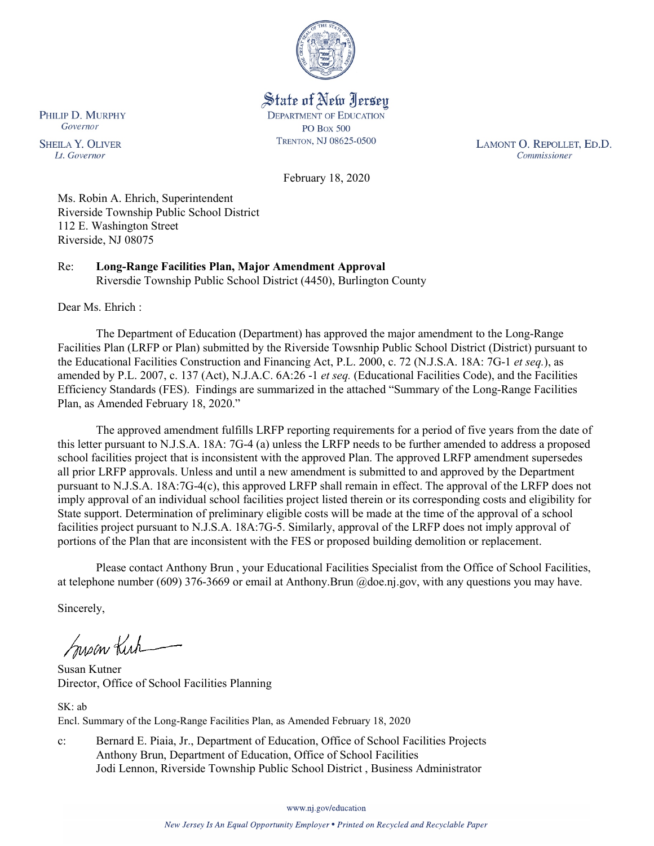

State of New Jersey **DEPARTMENT OF EDUCATION PO Box 500** TRENTON, NJ 08625-0500

LAMONT O. REPOLLET, ED.D. Commissioner

February 18, 2020

Ms. Robin A. Ehrich, Superintendent Riverside Township Public School District 112 E. Washington Street Riverside, NJ 08075

Re: **Long-Range Facilities Plan, Major Amendment Approval** Riversdie Township Public School District (4450), Burlington County

Dear Ms. Ehrich :

The Department of Education (Department) has approved the major amendment to the Long-Range Facilities Plan (LRFP or Plan) submitted by the Riverside Towsnhip Public School District (District) pursuant to the Educational Facilities Construction and Financing Act, P.L. 2000, c. 72 (N.J.S.A. 18A: 7G-1 *et seq.*), as amended by P.L. 2007, c. 137 (Act), N.J.A.C. 6A:26 -1 *et seq.* (Educational Facilities Code), and the Facilities Efficiency Standards (FES). Findings are summarized in the attached "Summary of the Long-Range Facilities Plan, as Amended February 18, 2020."

The approved amendment fulfills LRFP reporting requirements for a period of five years from the date of this letter pursuant to N.J.S.A. 18A: 7G-4 (a) unless the LRFP needs to be further amended to address a proposed school facilities project that is inconsistent with the approved Plan. The approved LRFP amendment supersedes all prior LRFP approvals. Unless and until a new amendment is submitted to and approved by the Department pursuant to N.J.S.A. 18A:7G-4(c), this approved LRFP shall remain in effect. The approval of the LRFP does not imply approval of an individual school facilities project listed therein or its corresponding costs and eligibility for State support. Determination of preliminary eligible costs will be made at the time of the approval of a school facilities project pursuant to N.J.S.A. 18A:7G-5. Similarly, approval of the LRFP does not imply approval of portions of the Plan that are inconsistent with the FES or proposed building demolition or replacement.

Please contact Anthony Brun , your Educational Facilities Specialist from the Office of School Facilities, at telephone number (609) 376-3669 or email at Anthony.Brun @doe.nj.gov, with any questions you may have.

Sincerely,

Susan Kich

Susan Kutner Director, Office of School Facilities Planning

SK: ab Encl. Summary of the Long-Range Facilities Plan, as Amended February 18, 2020

c: Bernard E. Piaia, Jr., Department of Education, Office of School Facilities Projects Anthony Brun, Department of Education, Office of School Facilities Jodi Lennon, Riverside Township Public School District , Business Administrator

www.nj.gov/education

PHILIP D. MURPHY Governor

**SHEILA Y. OLIVER** Lt. Governor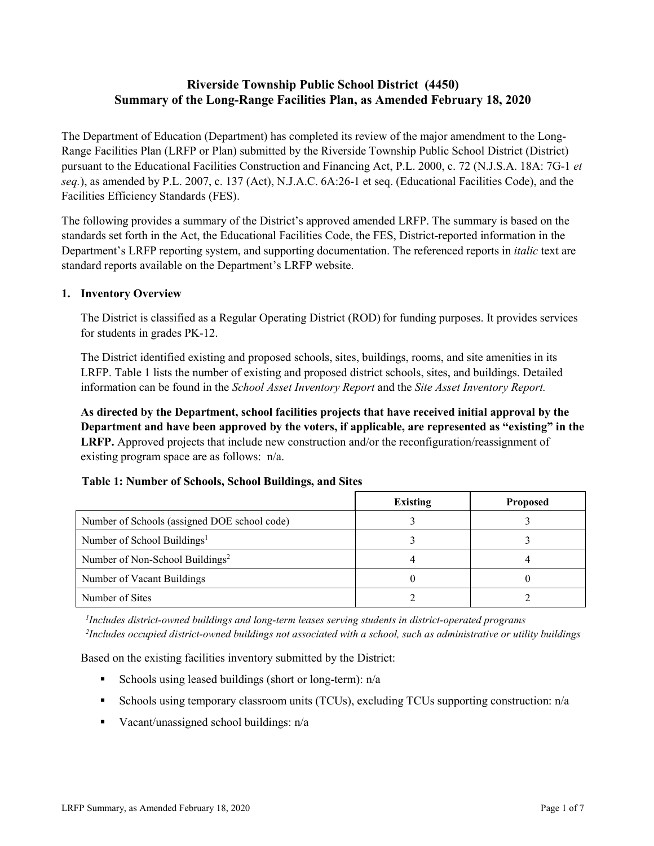# **Riverside Township Public School District (4450) Summary of the Long-Range Facilities Plan, as Amended February 18, 2020**

The Department of Education (Department) has completed its review of the major amendment to the Long-Range Facilities Plan (LRFP or Plan) submitted by the Riverside Township Public School District (District) pursuant to the Educational Facilities Construction and Financing Act, P.L. 2000, c. 72 (N.J.S.A. 18A: 7G-1 *et seq.*), as amended by P.L. 2007, c. 137 (Act), N.J.A.C. 6A:26-1 et seq. (Educational Facilities Code), and the Facilities Efficiency Standards (FES).

The following provides a summary of the District's approved amended LRFP. The summary is based on the standards set forth in the Act, the Educational Facilities Code, the FES, District-reported information in the Department's LRFP reporting system, and supporting documentation. The referenced reports in *italic* text are standard reports available on the Department's LRFP website.

# **1. Inventory Overview**

The District is classified as a Regular Operating District (ROD) for funding purposes. It provides services for students in grades PK-12.

The District identified existing and proposed schools, sites, buildings, rooms, and site amenities in its LRFP. Table 1 lists the number of existing and proposed district schools, sites, and buildings. Detailed information can be found in the *School Asset Inventory Report* and the *Site Asset Inventory Report.*

**As directed by the Department, school facilities projects that have received initial approval by the Department and have been approved by the voters, if applicable, are represented as "existing" in the LRFP.** Approved projects that include new construction and/or the reconfiguration/reassignment of existing program space are as follows: n/a.

| Table 1: Number of Schools, School Buildings, and Sites |  |  |  |  |
|---------------------------------------------------------|--|--|--|--|
|---------------------------------------------------------|--|--|--|--|

|                                              | <b>Existing</b> | <b>Proposed</b> |
|----------------------------------------------|-----------------|-----------------|
| Number of Schools (assigned DOE school code) |                 |                 |
| Number of School Buildings <sup>1</sup>      |                 |                 |
| Number of Non-School Buildings <sup>2</sup>  |                 |                 |
| Number of Vacant Buildings                   |                 |                 |
| Number of Sites                              |                 |                 |

*1 Includes district-owned buildings and long-term leases serving students in district-operated programs 2 Includes occupied district-owned buildings not associated with a school, such as administrative or utility buildings*

Based on the existing facilities inventory submitted by the District:

- Schools using leased buildings (short or long-term):  $n/a$
- Schools using temporary classroom units (TCUs), excluding TCUs supporting construction: n/a
- Vacant/unassigned school buildings:  $n/a$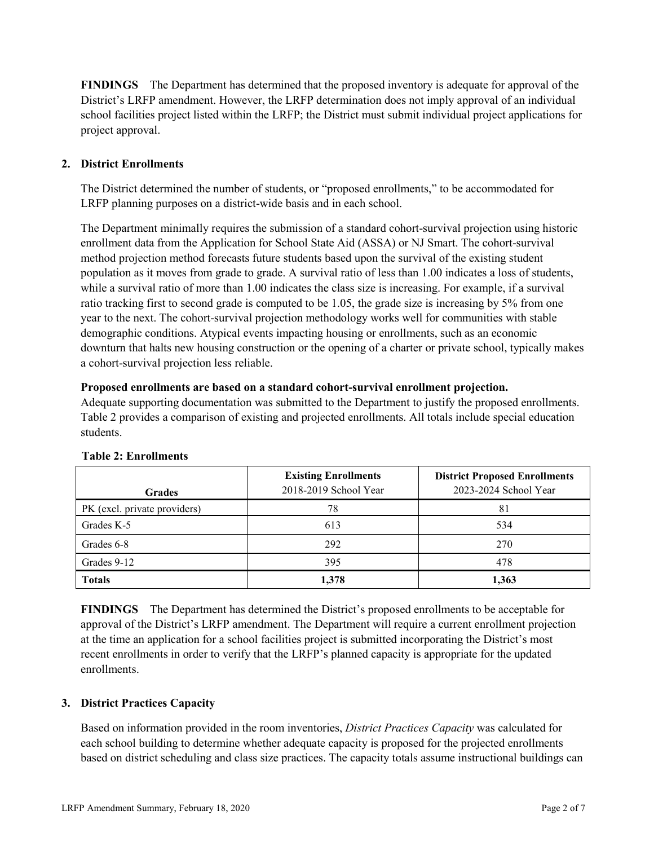**FINDINGS** The Department has determined that the proposed inventory is adequate for approval of the District's LRFP amendment. However, the LRFP determination does not imply approval of an individual school facilities project listed within the LRFP; the District must submit individual project applications for project approval.

# **2. District Enrollments**

The District determined the number of students, or "proposed enrollments," to be accommodated for LRFP planning purposes on a district-wide basis and in each school.

The Department minimally requires the submission of a standard cohort-survival projection using historic enrollment data from the Application for School State Aid (ASSA) or NJ Smart. The cohort-survival method projection method forecasts future students based upon the survival of the existing student population as it moves from grade to grade. A survival ratio of less than 1.00 indicates a loss of students, while a survival ratio of more than 1.00 indicates the class size is increasing. For example, if a survival ratio tracking first to second grade is computed to be 1.05, the grade size is increasing by 5% from one year to the next. The cohort-survival projection methodology works well for communities with stable demographic conditions. Atypical events impacting housing or enrollments, such as an economic downturn that halts new housing construction or the opening of a charter or private school, typically makes a cohort-survival projection less reliable.

#### **Proposed enrollments are based on a standard cohort-survival enrollment projection.**

Adequate supporting documentation was submitted to the Department to justify the proposed enrollments. Table 2 provides a comparison of existing and projected enrollments. All totals include special education students.

| <b>Grades</b>                | <b>Existing Enrollments</b><br>2018-2019 School Year | <b>District Proposed Enrollments</b><br>2023-2024 School Year |
|------------------------------|------------------------------------------------------|---------------------------------------------------------------|
| PK (excl. private providers) | 78                                                   | 81                                                            |
| Grades K-5                   | 613                                                  | 534                                                           |
| Grades 6-8                   | 292                                                  | 270                                                           |
| Grades 9-12                  | 395                                                  | 478                                                           |
| <b>Totals</b>                | 1,378                                                | 1,363                                                         |

#### **Table 2: Enrollments**

**FINDINGS** The Department has determined the District's proposed enrollments to be acceptable for approval of the District's LRFP amendment. The Department will require a current enrollment projection at the time an application for a school facilities project is submitted incorporating the District's most recent enrollments in order to verify that the LRFP's planned capacity is appropriate for the updated enrollments.

#### **3. District Practices Capacity**

Based on information provided in the room inventories, *District Practices Capacity* was calculated for each school building to determine whether adequate capacity is proposed for the projected enrollments based on district scheduling and class size practices. The capacity totals assume instructional buildings can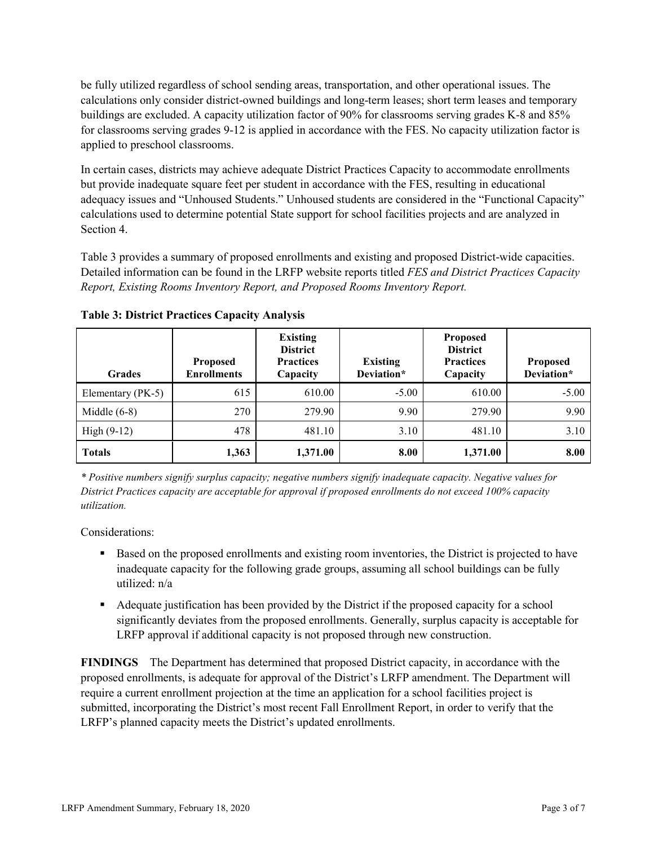be fully utilized regardless of school sending areas, transportation, and other operational issues. The calculations only consider district-owned buildings and long-term leases; short term leases and temporary buildings are excluded. A capacity utilization factor of 90% for classrooms serving grades K-8 and 85% for classrooms serving grades 9-12 is applied in accordance with the FES. No capacity utilization factor is applied to preschool classrooms.

In certain cases, districts may achieve adequate District Practices Capacity to accommodate enrollments but provide inadequate square feet per student in accordance with the FES, resulting in educational adequacy issues and "Unhoused Students." Unhoused students are considered in the "Functional Capacity" calculations used to determine potential State support for school facilities projects and are analyzed in Section 4.

Table 3 provides a summary of proposed enrollments and existing and proposed District-wide capacities. Detailed information can be found in the LRFP website reports titled *FES and District Practices Capacity Report, Existing Rooms Inventory Report, and Proposed Rooms Inventory Report.*

| <b>Grades</b>     | <b>Proposed</b><br><b>Enrollments</b> | <b>Existing</b><br><b>District</b><br><b>Practices</b><br>Capacity | <b>Existing</b><br>Deviation* | <b>Proposed</b><br><b>District</b><br><b>Practices</b><br>Capacity | <b>Proposed</b><br>Deviation* |
|-------------------|---------------------------------------|--------------------------------------------------------------------|-------------------------------|--------------------------------------------------------------------|-------------------------------|
| Elementary (PK-5) | 615                                   | 610.00                                                             | $-5.00$                       | 610.00                                                             | $-5.00$                       |
| Middle $(6-8)$    | 270                                   | 279.90                                                             | 9.90                          | 279.90                                                             | 9.90                          |
| High $(9-12)$     | 478                                   | 481.10                                                             | 3.10                          | 481.10                                                             | 3.10                          |
| <b>Totals</b>     | 1,363                                 | 1,371.00                                                           | 8.00                          | 1,371.00                                                           | 8.00                          |

**Table 3: District Practices Capacity Analysis**

*\* Positive numbers signify surplus capacity; negative numbers signify inadequate capacity. Negative values for District Practices capacity are acceptable for approval if proposed enrollments do not exceed 100% capacity utilization.*

Considerations:

- **Based on the proposed enrollments and existing room inventories, the District is projected to have** inadequate capacity for the following grade groups, assuming all school buildings can be fully utilized: n/a
- Adequate justification has been provided by the District if the proposed capacity for a school significantly deviates from the proposed enrollments. Generally, surplus capacity is acceptable for LRFP approval if additional capacity is not proposed through new construction.

**FINDINGS**The Department has determined that proposed District capacity, in accordance with the proposed enrollments, is adequate for approval of the District's LRFP amendment. The Department will require a current enrollment projection at the time an application for a school facilities project is submitted, incorporating the District's most recent Fall Enrollment Report, in order to verify that the LRFP's planned capacity meets the District's updated enrollments.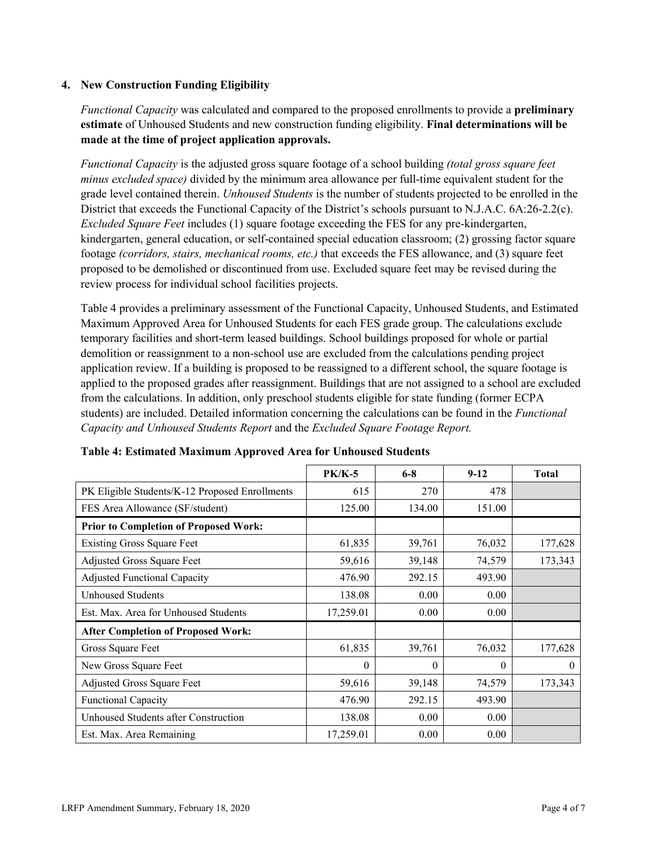# **4. New Construction Funding Eligibility**

*Functional Capacity* was calculated and compared to the proposed enrollments to provide a **preliminary estimate** of Unhoused Students and new construction funding eligibility. **Final determinations will be made at the time of project application approvals.**

*Functional Capacity* is the adjusted gross square footage of a school building *(total gross square feet minus excluded space)* divided by the minimum area allowance per full-time equivalent student for the grade level contained therein. *Unhoused Students* is the number of students projected to be enrolled in the District that exceeds the Functional Capacity of the District's schools pursuant to N.J.A.C. 6A:26-2.2(c). *Excluded Square Feet* includes (1) square footage exceeding the FES for any pre-kindergarten, kindergarten, general education, or self-contained special education classroom; (2) grossing factor square footage *(corridors, stairs, mechanical rooms, etc.)* that exceeds the FES allowance, and (3) square feet proposed to be demolished or discontinued from use. Excluded square feet may be revised during the review process for individual school facilities projects.

Table 4 provides a preliminary assessment of the Functional Capacity, Unhoused Students, and Estimated Maximum Approved Area for Unhoused Students for each FES grade group. The calculations exclude temporary facilities and short-term leased buildings. School buildings proposed for whole or partial demolition or reassignment to a non-school use are excluded from the calculations pending project application review. If a building is proposed to be reassigned to a different school, the square footage is applied to the proposed grades after reassignment. Buildings that are not assigned to a school are excluded from the calculations. In addition, only preschool students eligible for state funding (former ECPA students) are included. Detailed information concerning the calculations can be found in the *Functional Capacity and Unhoused Students Report* and the *Excluded Square Footage Report.*

|                                                | <b>PK/K-5</b> | $6 - 8$  | $9 - 12$ | <b>Total</b> |
|------------------------------------------------|---------------|----------|----------|--------------|
| PK Eligible Students/K-12 Proposed Enrollments | 615           | 270      | 478      |              |
| FES Area Allowance (SF/student)                | 125.00        | 134.00   | 151.00   |              |
| <b>Prior to Completion of Proposed Work:</b>   |               |          |          |              |
| <b>Existing Gross Square Feet</b>              | 61,835        | 39,761   | 76,032   | 177,628      |
| Adjusted Gross Square Feet                     | 59,616        | 39,148   | 74,579   | 173,343      |
| <b>Adjusted Functional Capacity</b>            | 476.90        | 292.15   | 493.90   |              |
| <b>Unhoused Students</b>                       | 138.08        | 0.00     | 0.00     |              |
| Est. Max. Area for Unhoused Students           | 17,259.01     | 0.00     | 0.00     |              |
| <b>After Completion of Proposed Work:</b>      |               |          |          |              |
| Gross Square Feet                              | 61,835        | 39,761   | 76,032   | 177,628      |
| New Gross Square Feet                          | $\theta$      | $\theta$ | $\theta$ | $\theta$     |
| Adjusted Gross Square Feet                     | 59,616        | 39,148   | 74,579   | 173,343      |
| <b>Functional Capacity</b>                     | 476.90        | 292.15   | 493.90   |              |
| Unhoused Students after Construction           | 138.08        | 0.00     | 0.00     |              |
| Est. Max. Area Remaining                       | 17,259.01     | 0.00     | 0.00     |              |

#### **Table 4: Estimated Maximum Approved Area for Unhoused Students**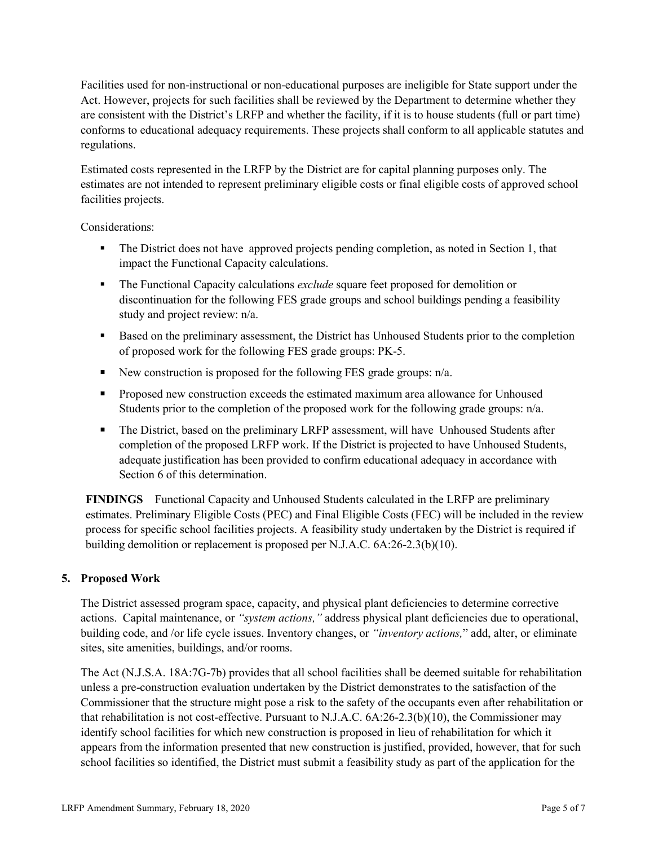Facilities used for non-instructional or non-educational purposes are ineligible for State support under the Act. However, projects for such facilities shall be reviewed by the Department to determine whether they are consistent with the District's LRFP and whether the facility, if it is to house students (full or part time) conforms to educational adequacy requirements. These projects shall conform to all applicable statutes and regulations.

Estimated costs represented in the LRFP by the District are for capital planning purposes only. The estimates are not intended to represent preliminary eligible costs or final eligible costs of approved school facilities projects.

Considerations:

- The District does not have approved projects pending completion, as noted in Section 1, that impact the Functional Capacity calculations.
- The Functional Capacity calculations *exclude* square feet proposed for demolition or discontinuation for the following FES grade groups and school buildings pending a feasibility study and project review: n/a.
- Based on the preliminary assessment, the District has Unhoused Students prior to the completion of proposed work for the following FES grade groups: PK-5.
- New construction is proposed for the following FES grade groups:  $n/a$ .
- **Proposed new construction exceeds the estimated maximum area allowance for Unhoused** Students prior to the completion of the proposed work for the following grade groups:  $n/a$ .
- The District, based on the preliminary LRFP assessment, will have Unhoused Students after completion of the proposed LRFP work. If the District is projected to have Unhoused Students, adequate justification has been provided to confirm educational adequacy in accordance with Section 6 of this determination.

**FINDINGS** Functional Capacity and Unhoused Students calculated in the LRFP are preliminary estimates. Preliminary Eligible Costs (PEC) and Final Eligible Costs (FEC) will be included in the review process for specific school facilities projects. A feasibility study undertaken by the District is required if building demolition or replacement is proposed per N.J.A.C. 6A:26-2.3(b)(10).

# **5. Proposed Work**

The District assessed program space, capacity, and physical plant deficiencies to determine corrective actions. Capital maintenance, or *"system actions,"* address physical plant deficiencies due to operational, building code, and /or life cycle issues. Inventory changes, or *"inventory actions,*" add, alter, or eliminate sites, site amenities, buildings, and/or rooms.

The Act (N.J.S.A. 18A:7G-7b) provides that all school facilities shall be deemed suitable for rehabilitation unless a pre-construction evaluation undertaken by the District demonstrates to the satisfaction of the Commissioner that the structure might pose a risk to the safety of the occupants even after rehabilitation or that rehabilitation is not cost-effective. Pursuant to N.J.A.C. 6A:26-2.3(b)(10), the Commissioner may identify school facilities for which new construction is proposed in lieu of rehabilitation for which it appears from the information presented that new construction is justified, provided, however, that for such school facilities so identified, the District must submit a feasibility study as part of the application for the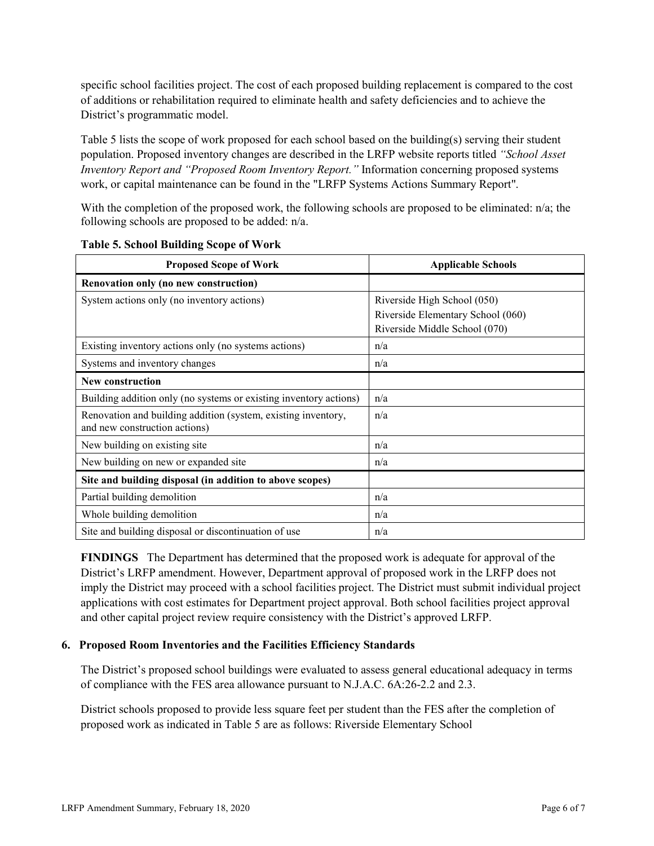specific school facilities project. The cost of each proposed building replacement is compared to the cost of additions or rehabilitation required to eliminate health and safety deficiencies and to achieve the District's programmatic model.

Table 5 lists the scope of work proposed for each school based on the building(s) serving their student population. Proposed inventory changes are described in the LRFP website reports titled *"School Asset Inventory Report and "Proposed Room Inventory Report."* Information concerning proposed systems work, or capital maintenance can be found in the "LRFP Systems Actions Summary Report".

With the completion of the proposed work, the following schools are proposed to be eliminated: n/a; the following schools are proposed to be added: n/a.

| <b>Proposed Scope of Work</b>                                                                  | <b>Applicable Schools</b>         |  |  |
|------------------------------------------------------------------------------------------------|-----------------------------------|--|--|
| Renovation only (no new construction)                                                          |                                   |  |  |
| System actions only (no inventory actions)                                                     | Riverside High School (050)       |  |  |
|                                                                                                | Riverside Elementary School (060) |  |  |
|                                                                                                | Riverside Middle School (070)     |  |  |
| Existing inventory actions only (no systems actions)                                           | n/a                               |  |  |
| Systems and inventory changes                                                                  | n/a                               |  |  |
| New construction                                                                               |                                   |  |  |
| Building addition only (no systems or existing inventory actions)                              | n/a                               |  |  |
| Renovation and building addition (system, existing inventory,<br>and new construction actions) | n/a                               |  |  |
| New building on existing site                                                                  | n/a                               |  |  |
| New building on new or expanded site                                                           | n/a                               |  |  |
| Site and building disposal (in addition to above scopes)                                       |                                   |  |  |
| Partial building demolition                                                                    | n/a                               |  |  |
| Whole building demolition                                                                      | n/a                               |  |  |
| Site and building disposal or discontinuation of use                                           | n/a                               |  |  |

|  |  |  | <b>Table 5. School Building Scope of Work</b> |  |  |  |
|--|--|--|-----------------------------------------------|--|--|--|
|--|--|--|-----------------------------------------------|--|--|--|

**FINDINGS** The Department has determined that the proposed work is adequate for approval of the District's LRFP amendment. However, Department approval of proposed work in the LRFP does not imply the District may proceed with a school facilities project. The District must submit individual project applications with cost estimates for Department project approval. Both school facilities project approval and other capital project review require consistency with the District's approved LRFP.

#### **6. Proposed Room Inventories and the Facilities Efficiency Standards**

The District's proposed school buildings were evaluated to assess general educational adequacy in terms of compliance with the FES area allowance pursuant to N.J.A.C. 6A:26-2.2 and 2.3.

District schools proposed to provide less square feet per student than the FES after the completion of proposed work as indicated in Table 5 are as follows: Riverside Elementary School